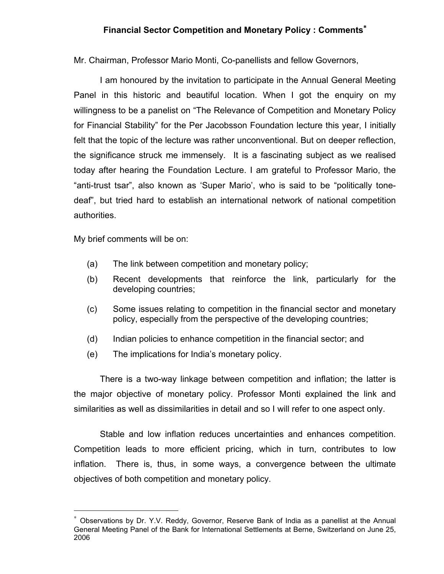## Financial Sector Competition and Monetary Policy : Comments<sup>\*</sup>

Mr. Chairman, Professor Mario Monti, Co-panellists and fellow Governors,

I am honoured by the invitation to participate in the Annual General Meeting Panel in this historic and beautiful location. When I got the enquiry on my willingness to be a panelist on "The Relevance of Competition and Monetary Policy for Financial Stability" for the Per Jacobsson Foundation lecture this year, I initially felt that the topic of the lecture was rather unconventional. But on deeper reflection, the significance struck me immensely. It is a fascinating subject as we realised today after hearing the Foundation Lecture. I am grateful to Professor Mario, the "anti-trust tsar", also known as 'Super Mario', who is said to be "politically tonedeaf", but tried hard to establish an international network of national competition authorities.

My brief comments will be on:

<u>.</u>

- (a) The link between competition and monetary policy;
- (b) Recent developments that reinforce the link, particularly for the developing countries;
- (c) Some issues relating to competition in the financial sector and monetary policy, especially from the perspective of the developing countries;
- (d) Indian policies to enhance competition in the financial sector; and
- (e) The implications for India's monetary policy.

There is a two-way linkage between competition and inflation; the latter is the major objective of monetary policy. Professor Monti explained the link and similarities as well as dissimilarities in detail and so I will refer to one aspect only.

Stable and low inflation reduces uncertainties and enhances competition. Competition leads to more efficient pricing, which in turn, contributes to low inflation. There is, thus, in some ways, a convergence between the ultimate objectives of both competition and monetary policy.

<sup>∗</sup> Observations by Dr. Y.V. Reddy, Governor, Reserve Bank of India as a panellist at the Annual General Meeting Panel of the Bank for International Settlements at Berne, Switzerland on June 25, 2006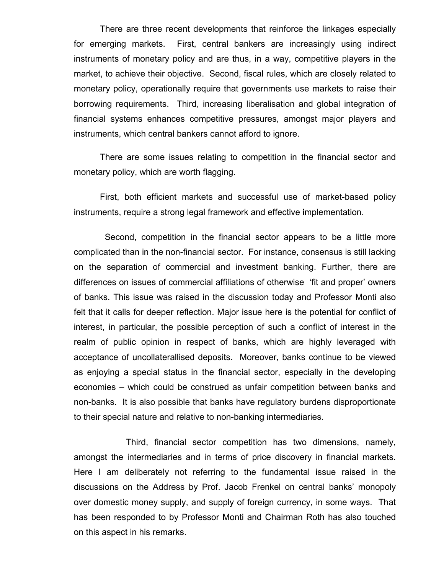There are three recent developments that reinforce the linkages especially for emerging markets. First, central bankers are increasingly using indirect instruments of monetary policy and are thus, in a way, competitive players in the market, to achieve their objective. Second, fiscal rules, which are closely related to monetary policy, operationally require that governments use markets to raise their borrowing requirements. Third, increasing liberalisation and global integration of financial systems enhances competitive pressures, amongst major players and instruments, which central bankers cannot afford to ignore.

There are some issues relating to competition in the financial sector and monetary policy, which are worth flagging.

First, both efficient markets and successful use of market-based policy instruments, require a strong legal framework and effective implementation.

 Second, competition in the financial sector appears to be a little more complicated than in the non-financial sector. For instance, consensus is still lacking on the separation of commercial and investment banking. Further, there are differences on issues of commercial affiliations of otherwise 'fit and proper' owners of banks. This issue was raised in the discussion today and Professor Monti also felt that it calls for deeper reflection. Major issue here is the potential for conflict of interest, in particular, the possible perception of such a conflict of interest in the realm of public opinion in respect of banks, which are highly leveraged with acceptance of uncollaterallised deposits. Moreover, banks continue to be viewed as enjoying a special status in the financial sector, especially in the developing economies – which could be construed as unfair competition between banks and non-banks. It is also possible that banks have regulatory burdens disproportionate to their special nature and relative to non-banking intermediaries.

Third, financial sector competition has two dimensions, namely, amongst the intermediaries and in terms of price discovery in financial markets. Here I am deliberately not referring to the fundamental issue raised in the discussions on the Address by Prof. Jacob Frenkel on central banks' monopoly over domestic money supply, and supply of foreign currency, in some ways. That has been responded to by Professor Monti and Chairman Roth has also touched on this aspect in his remarks.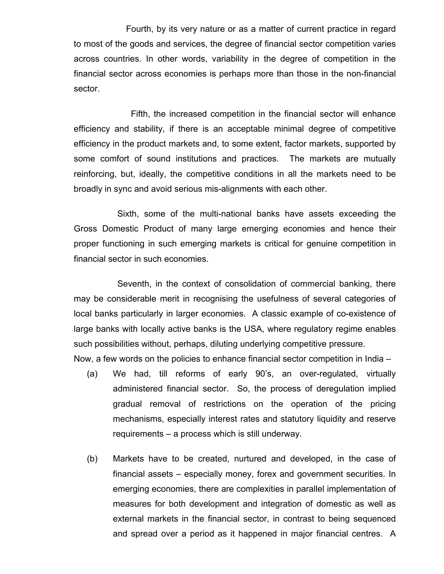Fourth, by its very nature or as a matter of current practice in regard to most of the goods and services, the degree of financial sector competition varies across countries. In other words, variability in the degree of competition in the financial sector across economies is perhaps more than those in the non-financial sector.

 Fifth, the increased competition in the financial sector will enhance efficiency and stability, if there is an acceptable minimal degree of competitive efficiency in the product markets and, to some extent, factor markets, supported by some comfort of sound institutions and practices. The markets are mutually reinforcing, but, ideally, the competitive conditions in all the markets need to be broadly in sync and avoid serious mis-alignments with each other.

Sixth, some of the multi-national banks have assets exceeding the Gross Domestic Product of many large emerging economies and hence their proper functioning in such emerging markets is critical for genuine competition in financial sector in such economies.

Seventh, in the context of consolidation of commercial banking, there may be considerable merit in recognising the usefulness of several categories of local banks particularly in larger economies. A classic example of co-existence of large banks with locally active banks is the USA, where regulatory regime enables such possibilities without, perhaps, diluting underlying competitive pressure. Now, a few words on the policies to enhance financial sector competition in India –

- (a) We had, till reforms of early 90's, an over-regulated, virtually administered financial sector. So, the process of deregulation implied gradual removal of restrictions on the operation of the pricing mechanisms, especially interest rates and statutory liquidity and reserve requirements – a process which is still underway.
- (b) Markets have to be created, nurtured and developed, in the case of financial assets – especially money, forex and government securities. In emerging economies, there are complexities in parallel implementation of measures for both development and integration of domestic as well as external markets in the financial sector, in contrast to being sequenced and spread over a period as it happened in major financial centres. A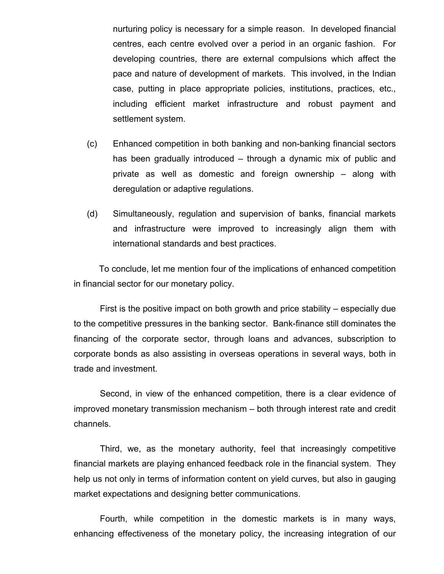nurturing policy is necessary for a simple reason. In developed financial centres, each centre evolved over a period in an organic fashion. For developing countries, there are external compulsions which affect the pace and nature of development of markets. This involved, in the Indian case, putting in place appropriate policies, institutions, practices, etc., including efficient market infrastructure and robust payment and settlement system.

- (c) Enhanced competition in both banking and non-banking financial sectors has been gradually introduced – through a dynamic mix of public and private as well as domestic and foreign ownership – along with deregulation or adaptive regulations.
- (d) Simultaneously, regulation and supervision of banks, financial markets and infrastructure were improved to increasingly align them with international standards and best practices.

 To conclude, let me mention four of the implications of enhanced competition in financial sector for our monetary policy.

First is the positive impact on both growth and price stability – especially due to the competitive pressures in the banking sector. Bank-finance still dominates the financing of the corporate sector, through loans and advances, subscription to corporate bonds as also assisting in overseas operations in several ways, both in trade and investment.

Second, in view of the enhanced competition, there is a clear evidence of improved monetary transmission mechanism – both through interest rate and credit channels.

Third, we, as the monetary authority, feel that increasingly competitive financial markets are playing enhanced feedback role in the financial system. They help us not only in terms of information content on yield curves, but also in gauging market expectations and designing better communications.

Fourth, while competition in the domestic markets is in many ways, enhancing effectiveness of the monetary policy, the increasing integration of our